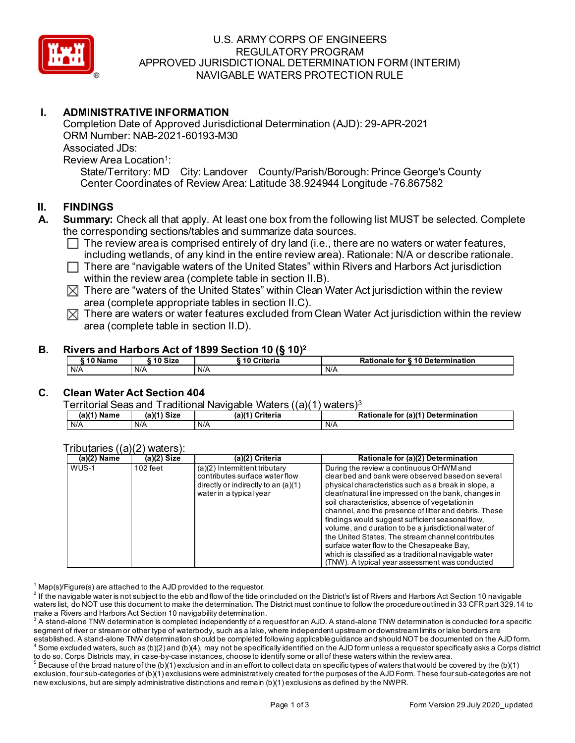

# U.S. ARMY CORPS OF ENGINEERS REGULATORY PROGRAM APPROVED JURISDICTIONAL DETERMINATION FORM (INTERIM) NAVIGABLE WATERS PROTECTION RULE

# **I. ADMINISTRATIVE INFORMATION**

Completion Date of Approved Jurisdictional Determination (AJD): 29-APR-2021 ORM Number: NAB-2021-60193-M30 Associated JDs: Review Area Location<sup>1</sup>:

State/Territory: MD City: Landover County/Parish/Borough: Prince George's County Center Coordinates of Review Area: Latitude 38.924944 Longitude -76.867582

### **II. FINDINGS**

- **A. Summary:** Check all that apply. At least one box from the following list MUST be selected. Complete the corresponding sections/tables and summarize data sources.
	- $\Box$  The review area is comprised entirely of dry land (i.e., there are no waters or water features, including wetlands, of any kind in the entire review area). Rationale: N/A or describe rationale.
	- $\Box$  There are "navigable waters of the United States" within Rivers and Harbors Act jurisdiction within the review area (complete table in section II.B).
	- $\boxtimes$  There are "waters of the United States" within Clean Water Act jurisdiction within the review area (complete appropriate tables in section II.C).
	- $\boxtimes$  There are waters or water features excluded from Clean Water Act jurisdiction within the review area (complete table in section II.D).

#### **B. Rivers and Harbors Act of 1899 Section 10 (§ 10)2**

| 10 Name | 10 Size | Criteria<br>10 | <b>Rationale for § 10 Determination</b> |
|---------|---------|----------------|-----------------------------------------|
| N/A     | N/A     | N/A            | N/A                                     |

# **C. Clean Water Act Section 404**

Territorial Seas and Traditional Navigable Waters ((a)(1) waters)3

| <b>Name</b><br>(a)(1` | Size<br>(a)(1` | (a)(1)<br>Criteria | (a)(1) Determination<br>Rationale<br>tor |
|-----------------------|----------------|--------------------|------------------------------------------|
| N/A                   | N/A            | N/A                | N/A                                      |

| $1110$ ula $163$ ((a/(2) | $value$ $,$   |                                                                                                                                     |                                                                                                                                                                                                                                                                                                                                                                                                                                                                                                                                                                                               |
|--------------------------|---------------|-------------------------------------------------------------------------------------------------------------------------------------|-----------------------------------------------------------------------------------------------------------------------------------------------------------------------------------------------------------------------------------------------------------------------------------------------------------------------------------------------------------------------------------------------------------------------------------------------------------------------------------------------------------------------------------------------------------------------------------------------|
| $(a)(2)$ Name            | $(a)(2)$ Size | $(a)(2)$ Criteria                                                                                                                   | Rationale for (a)(2) Determination                                                                                                                                                                                                                                                                                                                                                                                                                                                                                                                                                            |
| WUS-1                    | 102 feet      | $(a)(2)$ Intermittent tributary<br>contributes surface water flow<br>directly or indirectly to an (a)(1)<br>water in a typical year | During the review a continuous OHWM and<br>clear bed and bank were observed based on several<br>physical characteristics such as a break in slope, a<br>clear/natural line impressed on the bank, changes in<br>soil characteristics, absence of vegetation in<br>channel, and the presence of litter and debris. These<br>findings would suggest sufficient seasonal flow,<br>volume, and duration to be a jurisdictional water of<br>the United States. The stream channel contributes<br>surface water flow to the Chesapeake Bay,<br>which is classified as a traditional navigable water |
|                          |               |                                                                                                                                     | (TNW). A typical year assessment was conducted                                                                                                                                                                                                                                                                                                                                                                                                                                                                                                                                                |

Tributaries ((a)(2) waters):

 $1$  Map(s)/Figure(s) are attached to the AJD provided to the requestor.

 $2$  If the navigable water is not subject to the ebb and flow of the tide or included on the District's list of Rivers and Harbors Act Section 10 navigable waters list, do NOT use this document to make the determination. The District must continue to follow the procedure outlined in 33 CFR part 329.14 to make a Rivers and Harbors Act Section 10 navigability determination.

 $^{\rm 3}$  A stand-alone TNW determination is completed independently of a request for an AJD. A stand-alone TNW determination is conducted for a specific segment of river or stream or other type of waterbody, such as a lake, where independent upstream or downstream limits or lake borders are established. A stand-alone TNW determination should be completed following applicable guidance and should NOT be documented on the AJD form.  $^4$  Some excluded waters, such as (b)(2) and (b)(4), may not be specifically identified on the AJD form unless a requestor specifically asks a Corps district

to do so. Corps Districts may, in case-by-case instances, choose to identify some or all of these waters within the review area.  $^5$  Because of the broad nature of the (b)(1) exclusion and in an effort to collect data on specific types of waters that would be covered by the (b)(1) exclusion, four sub-categories of (b)(1) exclusions were administratively created for the purposes of the AJD Form. These four sub-categories are not new exclusions, but are simply administrative distinctions and remain (b)(1) exclusions as defined by the NWPR.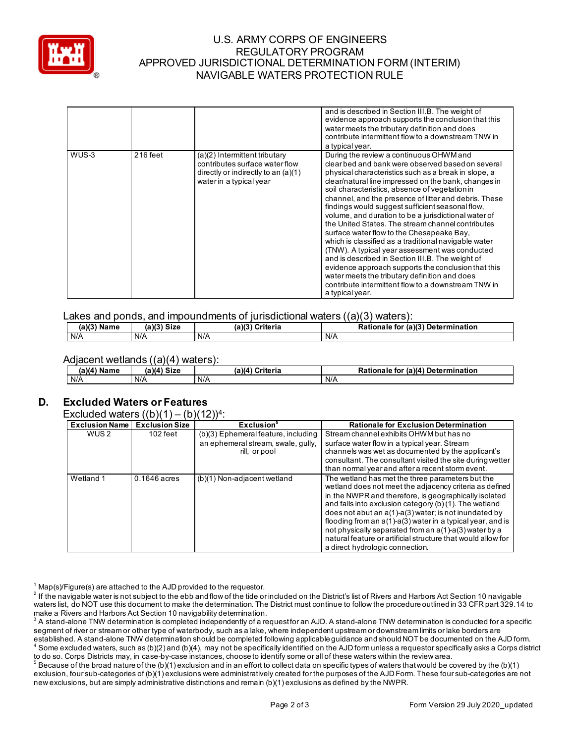

## U.S. ARMY CORPS OF ENGINEERS REGULATORY PROGRAM APPROVED JURISDICTIONAL DETERMINATION FORM (INTERIM) NAVIGABLE WATERS PROTECTION RULE

|       |          |                                                                                                                                     | and is described in Section III.B. The weight of<br>evidence approach supports the conclusion that this<br>water meets the tributary definition and does<br>contribute intermittent flow to a downstream TNW in<br>a typical year.                                                                                                                                                                                                                                                                                                                                                                                                                                                                                                                                                                                                                                                    |
|-------|----------|-------------------------------------------------------------------------------------------------------------------------------------|---------------------------------------------------------------------------------------------------------------------------------------------------------------------------------------------------------------------------------------------------------------------------------------------------------------------------------------------------------------------------------------------------------------------------------------------------------------------------------------------------------------------------------------------------------------------------------------------------------------------------------------------------------------------------------------------------------------------------------------------------------------------------------------------------------------------------------------------------------------------------------------|
| WUS-3 | 216 feet | (a)(2) Intermittent tributary<br>contributes surface water flow<br>directly or indirectly to an $(a)(1)$<br>water in a typical year | During the review a continuous OHWM and<br>clear bed and bank were observed based on several<br>physical characteristics such as a break in slope, a<br>clear/natural line impressed on the bank, changes in<br>soil characteristics, absence of vegetation in<br>channel, and the presence of litter and debris. These<br>findings would suggest sufficient seasonal flow,<br>volume, and duration to be a jurisdictional water of<br>the United States. The stream channel contributes<br>surface water flow to the Chesapeake Bay,<br>which is classified as a traditional navigable water<br>(TNW). A typical year assessment was conducted<br>and is described in Section III.B. The weight of<br>evidence approach supports the conclusion that this<br>water meets the tributary definition and does<br>contribute intermittent flow to a downstream TNW in<br>a typical year. |

#### Lakes and ponds, and impoundments of iurisdictional waters ((a)(3) waters):

| (a)(3)<br>Name | (a)(3)<br><b>Size</b> | (a)(?')<br>Criteria | ∡ (a)(3`<br><b>Detions</b><br><b>Determination</b><br>tor<br>tionale<br>ka. |
|----------------|-----------------------|---------------------|-----------------------------------------------------------------------------|
| N/A            | N/A                   | N/A                 | N/A                                                                         |

#### Adjacent wetlands ((a)(4) waters):

| (a)(4) Name | .<br>Size<br>(a)(4) | .<br>(a)(4)<br>Criteria | Rationale for (a)(4) Determination |
|-------------|---------------------|-------------------------|------------------------------------|
| N/A         | N/A                 | N/A                     | N/A                                |

# **D. Excluded Waters or Features**

Excluded waters  $((b)(1) - (b)(12))^4$ :

| <b>Exclusion Name</b> | <b>Exclusion Size</b> | Exclusion <sup>®</sup>                | <b>Rationale for Exclusion Determination</b>                                                                              |
|-----------------------|-----------------------|---------------------------------------|---------------------------------------------------------------------------------------------------------------------------|
| WUS 2                 | $102$ feet            | $(b)(3)$ Ephemeral feature, including | Stream channel exhibits OHWM but has no                                                                                   |
|                       |                       | an ephemeral stream, swale, gully,    | surface water flow in a typical year. Stream                                                                              |
|                       |                       | rill, or pool                         | channels was wet as documented by the applicant's                                                                         |
|                       |                       |                                       | consultant. The consultant visited the site during wetter                                                                 |
|                       |                       |                                       | than normal year and after a recent storm event.                                                                          |
| Wetland 1             | $0.1646$ acres        | (b)(1) Non-adjacent wetland           | The wetland has met the three parameters but the                                                                          |
|                       |                       |                                       | wetland does not meet the adjacency criteria as defined                                                                   |
|                       |                       |                                       | in the NWPR and therefore, is geographically isolated<br>and falls into exclusion category (b) (1). The wetland           |
|                       |                       |                                       | does not abut an a(1)-a(3) water; is not inundated by<br>flooding from an $a(1)$ - $a(3)$ water in a typical year, and is |
|                       |                       |                                       | not physically separated from an a(1)-a(3) water by a<br>natural feature or artificial structure that would allow for     |
|                       |                       |                                       | a direct hydrologic connection.                                                                                           |

 $1$  Map(s)/Figure(s) are attached to the AJD provided to the requestor.

 $^2$  If the navigable water is not subject to the ebb and flow of the tide or included on the District's list of Rivers and Harbors Act Section 10 navigable waters list, do NOT use this document to make the determination. The District must continue to follow the procedure outlined in 33 CFR part 329.14 to make a Rivers and Harbors Act Section 10 navigability determination.

 $^{\rm 3}$  A stand-alone TNW determination is completed independently of a request for an AJD. A stand-alone TNW determination is conducted for a specific segment of river or stream or other type of waterbody, such as a lake, where independent upstream or downstream limits or lake borders are established. A stand-alone TNW determination should be completed following applicable guidance and should NOT be documented on the AJD form.  $^4$  Some excluded waters, such as (b)(2) and (b)(4), may not be specifically identified on the AJD form unless a requestor specifically asks a Corps district

to do so. Corps Districts may, in case-by-case instances, choose to identify some or all of these waters within the review area.  $^5$  Because of the broad nature of the (b)(1) exclusion and in an effort to collect data on specific types of waters that would be covered by the (b)(1) exclusion, four sub-categories of (b)(1) exclusions were administratively created for the purposes of the AJD Form. These four sub-categories are not new exclusions, but are simply administrative distinctions and remain (b)(1) exclusions as defined by the NWPR.